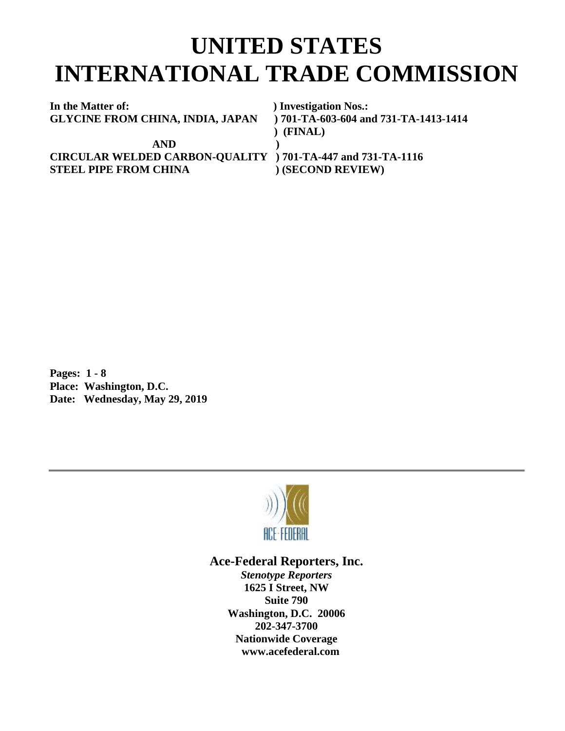## **UNITED STATES INTERNATIONAL TRADE COMMISSION**

**In the Matter of: ) Investigation Nos.: GLYCINE FROM CHINA, INDIA, JAPAN ) 701-TA-603-604 and 731-TA-1413-1414**

 **AND ) CIRCULAR WELDED CARBON-QUALITY ) 701-TA-447 and 731-TA-1116 STEEL PIPE FROM CHINA** (SECOND REVIEW)

 **) (FINAL)**

**Pages: 1 - 8 Place: Washington, D.C. Date: Wednesday, May 29, 2019**



## **Ace-Federal Reporters, Inc.**

*Stenotype Reporters* **1625 I Street, NW Suite 790 Washington, D.C. 20006 202-347-3700 Nationwide Coverage www.acefederal.com**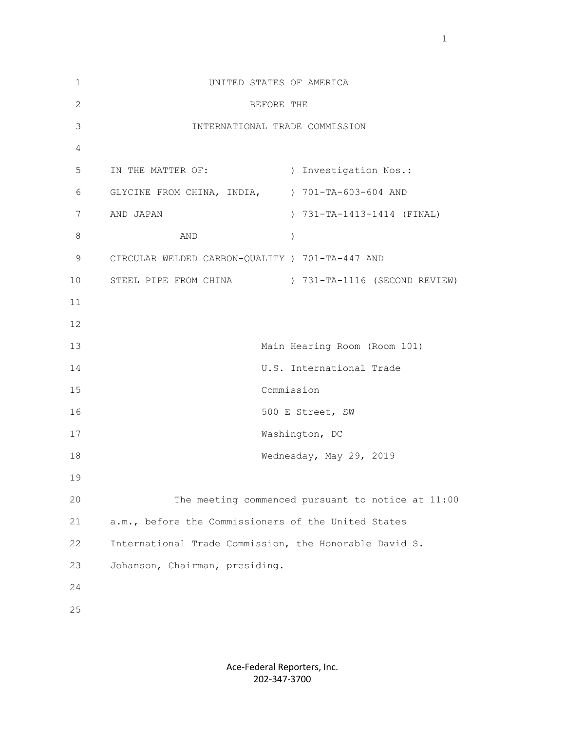| $\mathbf{1}$ | UNITED STATES OF AMERICA                               |
|--------------|--------------------------------------------------------|
| $\mathbf{2}$ | BEFORE THE                                             |
| 3            | INTERNATIONAL TRADE COMMISSION                         |
| 4            |                                                        |
| 5            | IN THE MATTER OF:<br>) Investigation Nos.:             |
| 6            | GLYCINE FROM CHINA, INDIA, ) 701-TA-603-604 AND        |
| 7            | AND JAPAN<br>) 731-TA-1413-1414 (FINAL)                |
| 8            | AND<br>$\lambda$                                       |
| 9            | CIRCULAR WELDED CARBON-QUALITY ) 701-TA-447 AND        |
| 10           | STEEL PIPE FROM CHINA (SECOND REVIEW)                  |
| 11           |                                                        |
| 12           |                                                        |
| 13           | Main Hearing Room (Room 101)                           |
| 14           | U.S. International Trade                               |
| 15           | Commission                                             |
| 16           | 500 E Street, SW                                       |
| 17           | Washington, DC                                         |
| 18           | Wednesday, May 29, 2019                                |
| 19           |                                                        |
| 20           | The meeting commenced pursuant to notice at 11:00      |
| 21           | a.m., before the Commissioners of the United States    |
| 22           | International Trade Commission, the Honorable David S. |
| 23           | Johanson, Chairman, presiding.                         |
| 24           |                                                        |
| 25           |                                                        |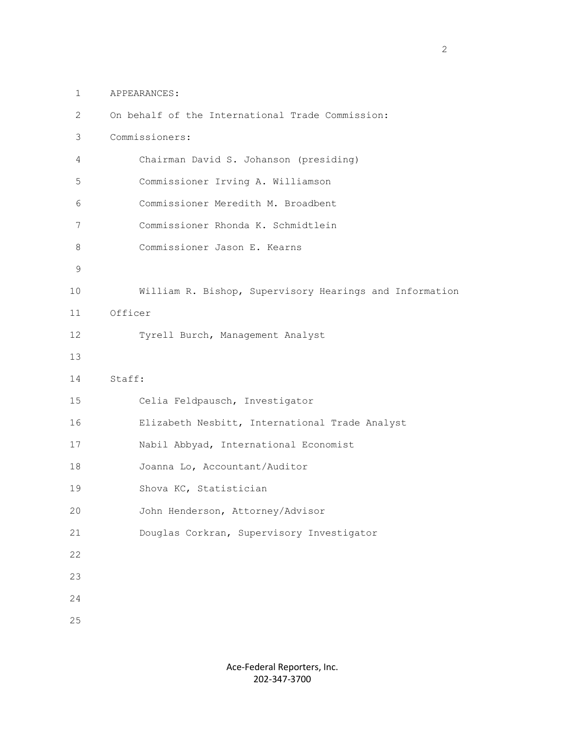1 APPEARANCES:

| $\mathbf{2}^{\prime}$ | On behalf of the International Trade Commission:        |
|-----------------------|---------------------------------------------------------|
| 3                     | Commissioners:                                          |
| 4                     | Chairman David S. Johanson (presiding)                  |
| 5                     | Commissioner Irving A. Williamson                       |
| 6                     | Commissioner Meredith M. Broadbent                      |
| 7                     | Commissioner Rhonda K. Schmidtlein                      |
| 8                     | Commissioner Jason E. Kearns                            |
| $\mathsf 9$           |                                                         |
| 10                    | William R. Bishop, Supervisory Hearings and Information |
| 11                    | Officer                                                 |
| 12                    | Tyrell Burch, Management Analyst                        |
| 13                    |                                                         |
| 14                    | Staff:                                                  |
| 15                    | Celia Feldpausch, Investigator                          |
| 16                    | Elizabeth Nesbitt, International Trade Analyst          |
| 17                    | Nabil Abbyad, International Economist                   |
| 18                    | Joanna Lo, Accountant/Auditor                           |
| 19                    | Shova KC, Statistician                                  |
| 20                    | John Henderson, Attorney/Advisor                        |
| 21                    | Douglas Corkran, Supervisory Investigator               |
| 22                    |                                                         |
| 23                    |                                                         |
| 24                    |                                                         |
| 25                    |                                                         |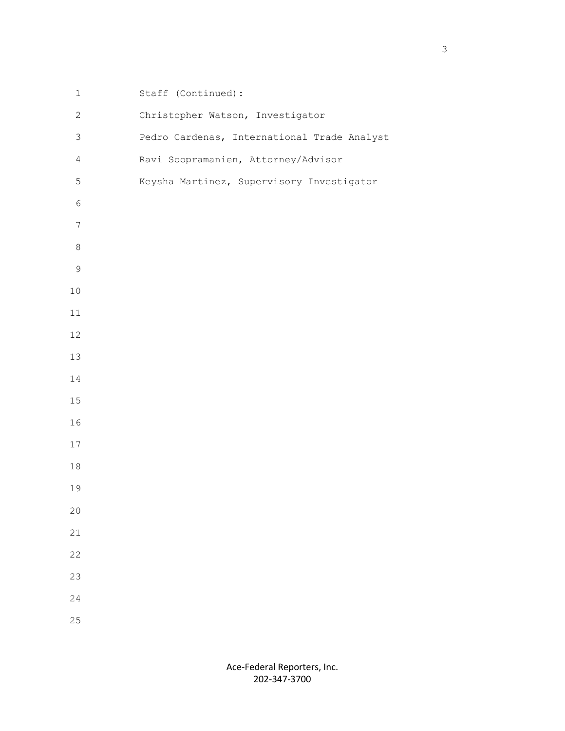| $\mathbf 1$    | Staff (Continued):                          |
|----------------|---------------------------------------------|
| $\mathbf{2}$   | Christopher Watson, Investigator            |
| 3              | Pedro Cardenas, International Trade Analyst |
| $\overline{4}$ | Ravi Soopramanien, Attorney/Advisor         |
| 5              | Keysha Martinez, Supervisory Investigator   |
| $\epsilon$     |                                             |
| $\overline{7}$ |                                             |
| $\,8\,$        |                                             |
| $\mathsf{S}$   |                                             |
| $10$           |                                             |
| $11\,$         |                                             |
| 12             |                                             |
| 13             |                                             |
| 14             |                                             |
| $15\,$         |                                             |
| 16             |                                             |
| $17$           |                                             |
| $18\,$         |                                             |
| 19             |                                             |
| 20             |                                             |
| 21             |                                             |
| 22             |                                             |
| 23             |                                             |
| 24             |                                             |
| 25             |                                             |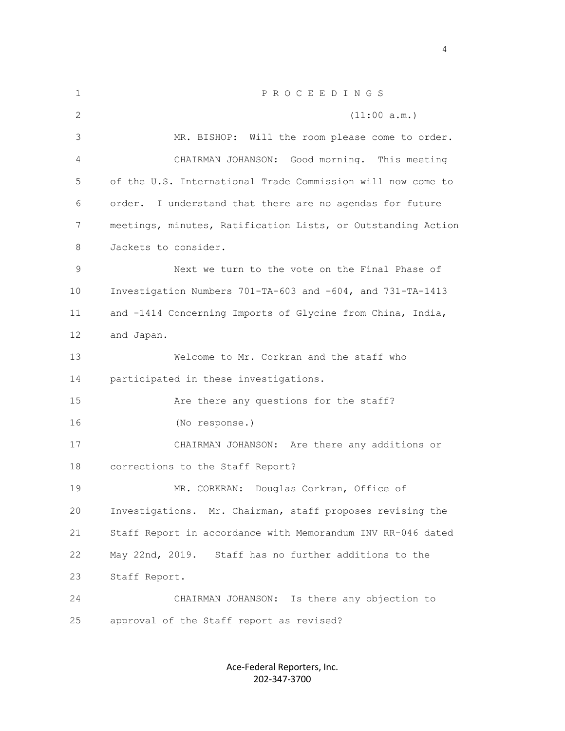| 1  | PROCEEDINGS                                                  |
|----|--------------------------------------------------------------|
| 2  | (11:00 a.m.)                                                 |
| 3  | MR. BISHOP: Will the room please come to order.              |
| 4  | Good morning. This meeting<br>CHAIRMAN JOHANSON:             |
| 5  | of the U.S. International Trade Commission will now come to  |
| 6  | I understand that there are no agendas for future<br>order.  |
| 7  | meetings, minutes, Ratification Lists, or Outstanding Action |
| 8  | Jackets to consider.                                         |
| 9  | Next we turn to the vote on the Final Phase of               |
| 10 | Investigation Numbers 701-TA-603 and -604, and 731-TA-1413   |
| 11 | and -1414 Concerning Imports of Glycine from China, India,   |
| 12 | and Japan.                                                   |
| 13 | Welcome to Mr. Corkran and the staff who                     |
| 14 | participated in these investigations.                        |
| 15 | Are there any questions for the staff?                       |
| 16 | (No response.)                                               |
| 17 | CHAIRMAN JOHANSON: Are there any additions or                |
| 18 | corrections to the Staff Report?                             |
| 19 | MR. CORKRAN: Douglas Corkran, Office of                      |
| 20 | Investigations. Mr. Chairman, staff proposes revising the    |
| 21 | Staff Report in accordance with Memorandum INV RR-046 dated  |
| 22 | May 22nd, 2019.<br>Staff has no further additions to the     |
| 23 | Staff Report.                                                |
| 24 | CHAIRMAN JOHANSON: Is there any objection to                 |
| 25 | approval of the Staff report as revised?                     |

Ace-Federal Reporters, Inc. 202-347-3700

4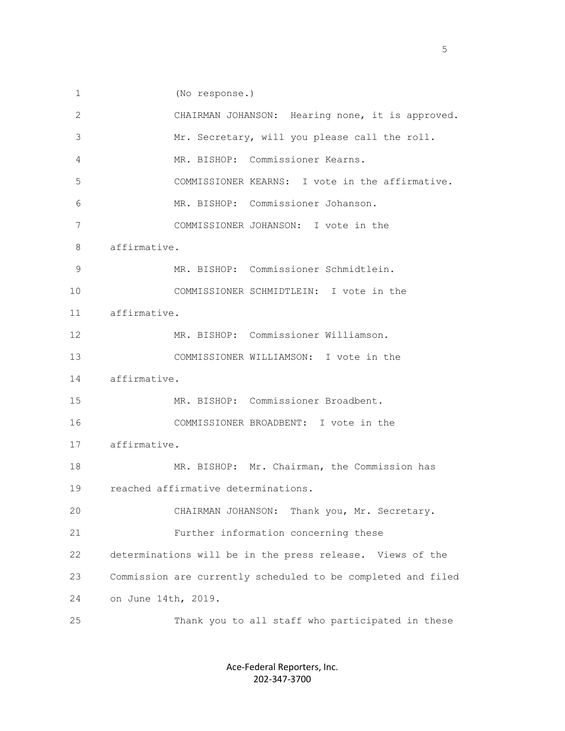1 (No response.)

| 2  | CHAIRMAN JOHANSON: Hearing none, it is approved.             |
|----|--------------------------------------------------------------|
| 3  | Mr. Secretary, will you please call the roll.                |
| 4  | MR. BISHOP: Commissioner Kearns.                             |
| 5  | COMMISSIONER KEARNS: I vote in the affirmative.              |
| 6  | MR. BISHOP: Commissioner Johanson.                           |
| 7  | COMMISSIONER JOHANSON: I vote in the                         |
| 8  | affirmative.                                                 |
| 9  | MR. BISHOP: Commissioner Schmidtlein.                        |
| 10 | COMMISSIONER SCHMIDTLEIN: I vote in the                      |
| 11 | affirmative.                                                 |
| 12 | MR. BISHOP: Commissioner Williamson.                         |
| 13 | COMMISSIONER WILLIAMSON: I vote in the                       |
| 14 | affirmative.                                                 |
| 15 | MR. BISHOP: Commissioner Broadbent.                          |
| 16 | COMMISSIONER BROADBENT: I vote in the                        |
| 17 | affirmative.                                                 |
| 18 | MR. BISHOP: Mr. Chairman, the Commission has                 |
| 19 | reached affirmative determinations.                          |
| 20 | CHAIRMAN JOHANSON: Thank you, Mr. Secretary.                 |
| 21 | Further information concerning these                         |
| 22 | determinations will be in the press release. Views of the    |
| 23 | Commission are currently scheduled to be completed and filed |
| 24 | on June 14th, 2019.                                          |
| 25 | Thank you to all staff who participated in these             |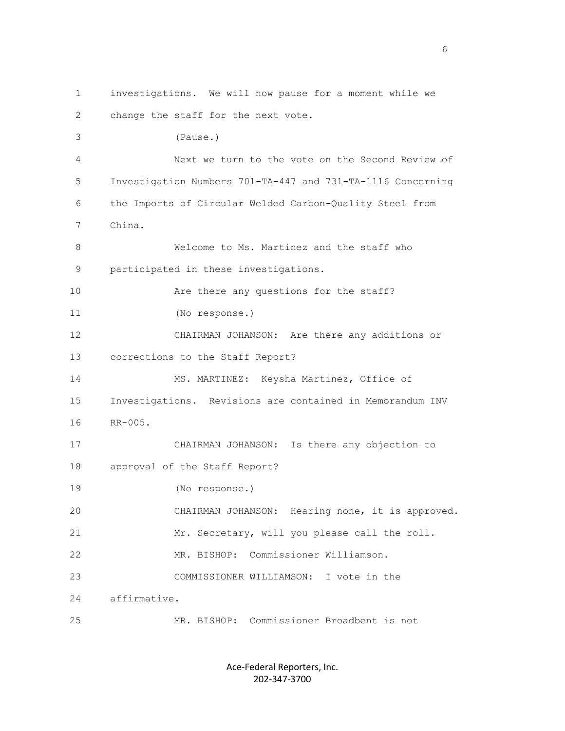1 investigations. We will now pause for a moment while we 2 change the staff for the next vote. 3 (Pause.) 4 Next we turn to the vote on the Second Review of 5 Investigation Numbers 701-TA-447 and 731-TA-1116 Concerning 6 the Imports of Circular Welded Carbon-Quality Steel from 7 China. 8 Welcome to Ms. Martinez and the staff who 9 participated in these investigations. 10 Are there any questions for the staff? 11 (No response.) 12 CHAIRMAN JOHANSON: Are there any additions or 13 corrections to the Staff Report? 14 MS. MARTINEZ: Keysha Martinez, Office of 15 Investigations. Revisions are contained in Memorandum INV 16 RR-005. 17 CHAIRMAN JOHANSON: Is there any objection to 18 approval of the Staff Report? 19 (No response.) 20 CHAIRMAN JOHANSON: Hearing none, it is approved. 21 Mr. Secretary, will you please call the roll. 22 MR. BISHOP: Commissioner Williamson. 23 COMMISSIONER WILLIAMSON: I vote in the 24 affirmative. 25 MR. BISHOP: Commissioner Broadbent is not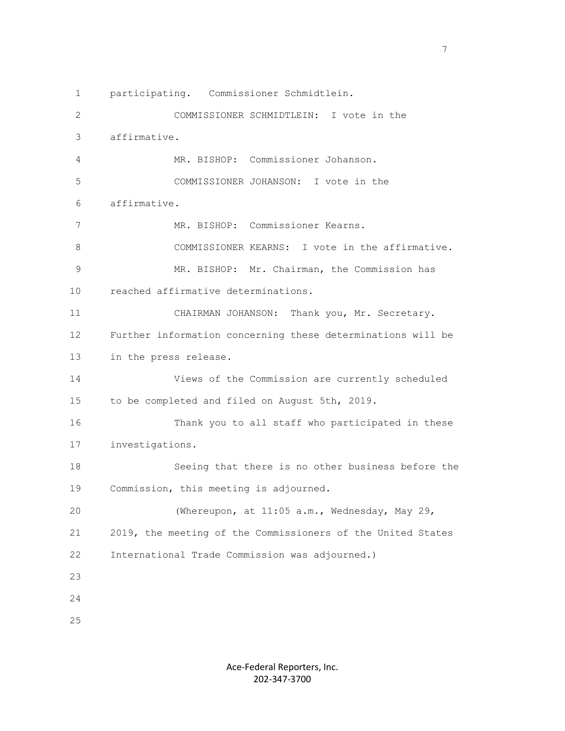1 participating. Commissioner Schmidtlein. 2 COMMISSIONER SCHMIDTLEIN: I vote in the 3 affirmative. 4 MR. BISHOP: Commissioner Johanson. 5 COMMISSIONER JOHANSON: I vote in the 6 affirmative. 7 MR. BISHOP: Commissioner Kearns. 8 COMMISSIONER KEARNS: I vote in the affirmative. 9 MR. BISHOP: Mr. Chairman, the Commission has 10 reached affirmative determinations. 11 CHAIRMAN JOHANSON: Thank you, Mr. Secretary. 12 Further information concerning these determinations will be 13 in the press release. 14 Views of the Commission are currently scheduled 15 to be completed and filed on August 5th, 2019. 16 Thank you to all staff who participated in these 17 investigations. 18 Seeing that there is no other business before the 19 Commission, this meeting is adjourned. 20 (Whereupon, at 11:05 a.m., Wednesday, May 29, 21 2019, the meeting of the Commissioners of the United States 22 International Trade Commission was adjourned.) 23 24 25